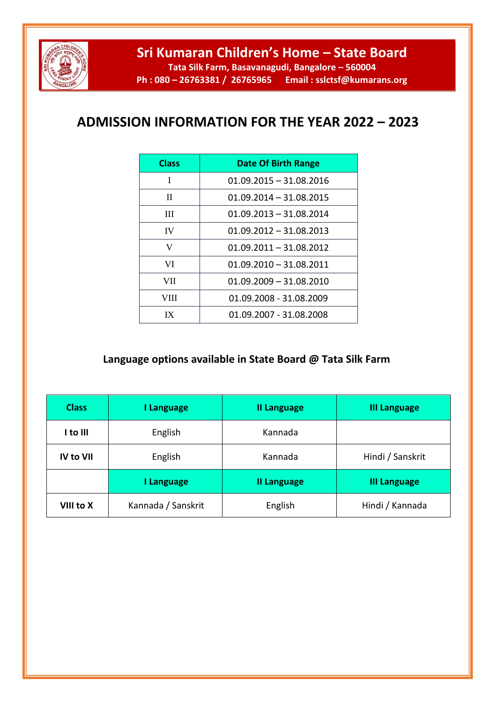

**Tata Silk Farm, Basavanagudi, Bangalore – 560004 Ph : 080 – 26763381 / 26765965 Email : sslctsf@kumarans.org**

## **ADMISSION INFORMATION FOR THE YEAR 2022 – 2023**

| <b>Class</b> | <b>Date Of Birth Range</b> |
|--------------|----------------------------|
| I            | $01.09.2015 - 31.08.2016$  |
| H            | $01.09.2014 - 31.08.2015$  |
| Ш            | $01.09.2013 - 31.08.2014$  |
| <b>IV</b>    | $01.09.2012 - 31.08.2013$  |
| V            | $01.09.2011 - 31.08.2012$  |
| VI           | $01.09.2010 - 31.08.2011$  |
| VII          | $01.09.2009 - 31.08.2010$  |
| VIII         | 01.09.2008 - 31.08.2009    |
| IX           | 01.09.2007 - 31.08.2008    |

## **Language options available in State Board @ Tata Silk Farm**

| <b>Class</b>     | I Language         | <b>II Language</b> | <b>III Language</b> |
|------------------|--------------------|--------------------|---------------------|
| I to III         | English            | Kannada            |                     |
| <b>IV to VII</b> | English            | Kannada            | Hindi / Sanskrit    |
|                  | I Language         | <b>II Language</b> | <b>III Language</b> |
| VIII to X        | Kannada / Sanskrit | English            | Hindi / Kannada     |